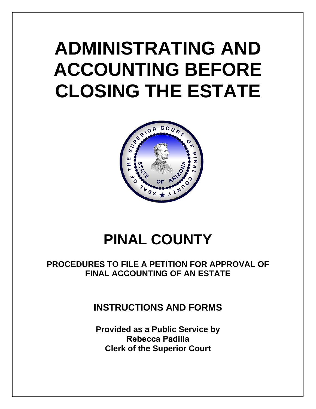# **ADMINISTRATING AND ACCOUNTING BEFORE CLOSING THE ESTATE**



## **PINAL COUNTY**

## **PROCEDURES TO FILE A PETITION FOR APPROVAL OF FINAL ACCOUNTING OF AN ESTATE**

## **INSTRUCTIONS AND FORMS**

**Provided as a Public Service by Rebecca Padilla Clerk of the Superior Court**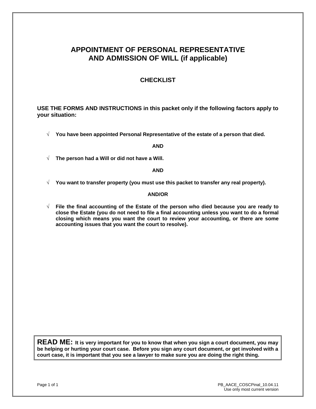## **APPOINTMENT OF PERSONAL REPRESENTATIVE AND ADMISSION OF WILL (if applicable)**

#### **CHECKLIST**

**USE THE FORMS AND INSTRUCTIONS in this packet only if the following factors apply to your situation:** 

√ **You have been appointed Personal Representative of the estate of a person that died.**

**AND** 

√ **The person had a Will or did not have a Will.**

#### **AND**

√ **You want to transfer property (you must use this packet to transfer any real property).**

#### **AND/OR**

√ **File the final accounting of the Estate of the person who died because you are ready to close the Estate (you do not need to file a final accounting unless you want to do a formal closing which means you want the court to review your accounting, or there are some accounting issues that you want the court to resolve).**

**READ ME: It is very important for you to know that when you sign a court document, you may be helping or hurting your court case. Before you sign any court document, or get involved with a court case, it is important that you see a lawyer to make sure you are doing the right thing.**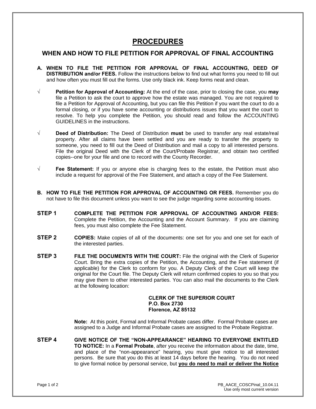## **PROCEDURES**

#### **WHEN AND HOW TO FILE PETITION FOR APPROVAL OF FINAL ACCOUNTING**

- **A. WHEN TO FILE THE PETITION FOR APPROVAL OF FINAL ACCOUNTING, DEED OF DISTRIBUTION and/or FEES.** Follow the instructions below to find out what forms you need to fill out and how often you must fill out the forms. Use only black ink. Keep forms neat and clean.
- **√ Petition for Approval of Accounting:** At the end of the case, prior to closing the case, you **may** file a Petition to ask the court to approve how the estate was managed. You are not required to file a Petition for Approval of Accounting, but you can file this Petition if you want the court to do a formal closing, or if you have some accounting or distributions issues that you want the court to resolve. To help you complete the Petition, you should read and follow the ACCOUNTING GUIDELINES in the instructions.
- **√ Deed of Distribution:** The Deed of Distribution **must** be used to transfer any real estate/real property. After all claims have been settled and you are ready to transfer the property to someone, you need to fill out the Deed of Distribution and mail a copy to all interested persons. File the original Deed with the Clerk of the Court/Probate Registrar, and obtain two certified copies--one for your file and one to record with the County Recorder.
- **√ Fee Statement:** If you or anyone else is charging fees to the estate, the Petition must also include a request for approval of the Fee Statement, and attach a copy of the Fee Statement.
- **B. HOW TO FILE THE PETITION FOR APPROVAL OF ACCOUNTING OR FEES.** Remember you do not have to file this document unless you want to see the judge regarding some accounting issues.
- **STEP 1 COMPLETE THE PETITION FOR APPROVAL OF ACCOUNTING AND/OR FEES:** Complete the Petition, the Accounting and the Account Summary. If you are claiming fees, you must also complete the Fee Statement.
- **STEP 2 COPIES:** Make copies of all of the documents: one set for you and one set for each of the interested parties.
- **STEP 3 FILE THE DOCUMENTS WITH THE COURT:** File the original with the Clerk of Superior Court. Bring the extra copies of the Petition, the Accounting, and the Fee statement (if applicable) for the Clerk to conform for you. A Deputy Clerk of the Court will keep the original for the Court file. The Deputy Clerk will return confirmed copies to you so that you may give them to other interested parties. You can also mail the documents to the Clerk at the following location:

#### **CLERK OF THE SUPERIOR COURT P.O. Box 2730 Florence, AZ 85132**

**Note:** At this point, Formal and Informal Probate cases differ. Formal Probate cases are assigned to a Judge and Informal Probate cases are assigned to the Probate Registrar.

**STEP 4 GIVE NOTICE OF THE "NON-APPEARANCE" HEARING TO EVERYONE ENTITLED TO NOTICE:** In a **Formal Probate**, after you receive the information about the date, time, and place of the "non-appearance" hearing, you must give notice to all interested persons. Be sure that you do this at least 14 days before the hearing. You do not need to give formal notice by personal service, but **you do need to mail or deliver the Notice**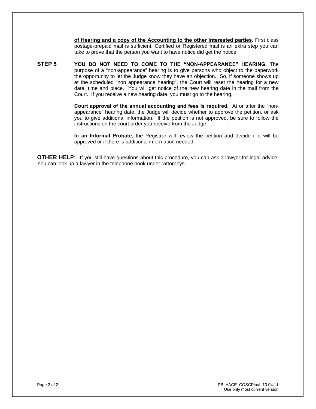**of Hearing and a copy of the Accounting to the other interested parties**. First class postage-prepaid mail is sufficient. Certified or Registered mail is an extra step you can take to prove that the person you want to have notice did get the notice.

**STEP 5 YOU DO NOT NEED TO COME TO THE "NON-APPEARANCE" HEARING.** The purpose of a "non-appearance" hearing is to give persons who object to the paperwork the opportunity to let the Judge know they have an objection. So, if someone shows up at the scheduled "non appearance hearing", the Court will reset the hearing for a new date, time and place. You will get notice of the new hearing date in the mail from the Court. If you receive a new hearing date, you must go to the hearing.

> **Court approval of the annual accounting and fees is required.** At or after the "nonappearance" hearing date, the Judge will decide whether to approve the petition, or ask you to give additional information. If the petition is not approved, be sure to follow the instructions on the court order you receive from the Judge.

> **In an Informal Probate,** the Registrar will review the petition and decide if it will be approved or if there is additional information needed.

**OTHER HELP:** If you still have questions about this procedure, you can ask a lawyer for legal advice. You can look up a lawyer in the telephone book under "attorneys".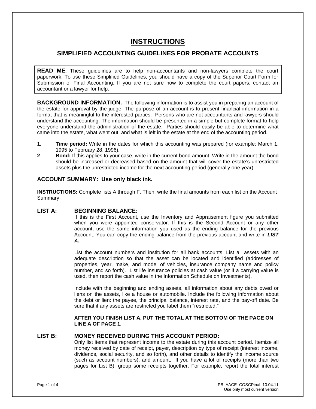## **INSTRUCTIONS**

#### **SIMPLIFIED ACCOUNTING GUIDELINES FOR PROBATE ACCOUNTS**

**READ ME.** These guidelines are to help non-accountants and non-lawyers complete the court paperwork. To use these Simplified Guidelines, you should have a copy of the Superior Court Form for Submission of Final Accounting. If you are not sure how to complete the court papers, contact an accountant or a lawyer for help.

**BACKGROUND INFORMATION.** The following information is to assist you in preparing an account of the estate for approval by the judge. The purpose of an account is to present financial information in a format that is meaningful to the interested parties. Persons who are not accountants and lawyers should understand the accounting. The information should be presented in a simple but complete format to help everyone understand the administration of the estate. Parties should easily be able to determine what came into the estate, what went out, and what is left in the estate at the end of the accounting period.

- **1. Time period:** Write in the dates for which this accounting was prepared (for example: March 1, 1995 to February 28, 1996).
- **2**. **Bond:** If this applies to your case, write in the current bond amount. Write in the amount the bond should be increased or decreased based on the amount that will cover the estate's unrestricted assets plus the unrestricted income for the next accounting period (generally one year).

#### **ACCOUNT SUMMARY: Use only black ink.**

**INSTRUCTIONS:** Complete lists A through F. Then, write the final amounts from each list on the Account Summary.

#### **LIST A: BEGINNING BALANCE:**

If this is the First Account, use the Inventory and Appraisement figure you submitted when you were appointed conservator. If this is the Second Account or any other account, use the same information you used as the ending balance for the previous Account. You can copy the ending balance from the previous account and write in *LIST A.* 

List the account numbers and institution for all bank accounts. List all assets with an adequate description so that the asset can be located and identified (addresses of properties, year, make, and model of vehicles, insurance company name and policy number, and so forth). List life insurance policies at cash value (or if a carrying value is used, then report the cash value in the Information Schedule on Investments).

Include with the beginning and ending assets, all information about any debts owed or liens on the assets, like a house or automobile. Include the following information about the debt or lien: the payee, the principal balance, interest rate, and the pay-off date. Be sure that if any assets are restricted you label them "restricted."

#### **AFTER YOU FINISH LIST A, PUT THE TOTAL AT THE BOTTOM OF THE PAGE ON LINE A OF PAGE 1.**

#### **LIST B: MONEY RECEIVED DURING THIS ACCOUNT PERIOD:**

Only list items that represent income to the estate during this account period. Itemize all money received by date of receipt, payer, description by type of receipt (interest income, dividends, social security, and so forth), and other details to identify the income source (such as account numbers), and amount. If you have a lot of receipts (more than two pages for List B), group some receipts together. For example, report the total interest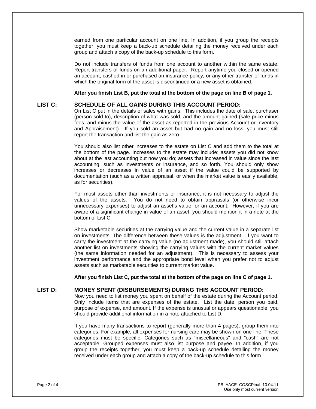earned from one particular account on one line. In addition, if you group the receipts together, you must keep a back-up schedule detailing the money received under each group and attach a copy of the back-up schedule to this form.

Do not include transfers of funds from one account to another within the same estate. Report transfers of funds on an additional paper. Report anytime you closed or opened an account, cashed in or purchased an insurance policy, or any other transfer of funds in which the original form of the asset is discontinued or a new asset is obtained.

**After you finish List B, put the total at the bottom of the page on line B of page 1.** 

#### **LIST C: SCHEDULE OF ALL GAINS DURING THIS ACCOUNT PERIOD:**

On List C put in the details of sales with gains. This includes the date of sale, purchaser (person sold to), description of what was sold, and the amount gained (sale price minus fees, and minus the value of the asset as reported in the previous Account or Inventory and Appraisement). If you sold an asset but had no gain and no loss, you must still report the transaction and list the gain as zero.

You should also list other increases to the estate on List C and add them to the total at the bottom of the page. Increases to the estate may include: assets you did not know about at the last accounting but now you do; assets that increased in value since the last accounting, such as investments or insurance, and so forth. You should only show increases or decreases in value of an asset if the value could be supported by documentation (such as a written appraisal, or when the market value is easily available, as for securities).

For most assets other than investments or insurance, it is not necessary to adjust the values of the assets. You do not need to obtain appraisals (or otherwise incur unnecessary expenses) to adjust an asset's value for an account. However, if you are aware of a significant change in value of an asset, you should mention it in a note at the bottom of List C.

Show marketable securities at the carrying value and the current value in a separate list on investments. The difference between these values is the adjustment. If you want to carry the investment at the carrying value (no adjustment made), you should still attach another list on investments showing the carrying values with the current market values (the same information needed for an adjustment). This is necessary to assess your investment performance and the appropriate bond level when you prefer not to adjust assets such as marketable securities to current market value.

**After you finish List C, put the total at the bottom of the page on line C of page 1.** 

#### **LIST D: MONEY SPENT (DISBURSEMENTS) DURING THIS ACCOUNT PERIOD:**

Now you need to list money you spent on behalf of the estate during the Account period. Only include items that are expenses of the estate. List the date, person you paid, purpose of expense, and amount. If the expense is unusual or appears questionable, you should provide additional information in a note attached to List D.

If you have many transactions to report (generally more than 4 pages), group them into categories. For example, all expenses for nursing care may be shown on one line. These categories must be specific. Categories such as "miscellaneous" and "cash" are not acceptable. Grouped expenses must also list purpose and payee. In addition, if you group the receipts together, you must keep a back-up schedule detailing the money received under each group and attach a copy of the back-up schedule to this form.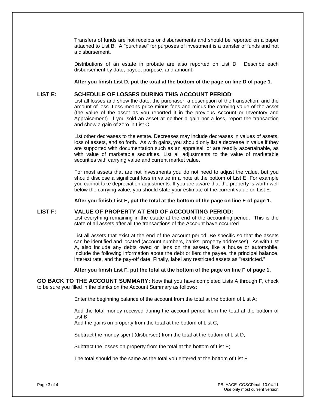Transfers of funds are not receipts or disbursements and should be reported on a paper attached to List B. A "purchase" for purposes of investment is a transfer of funds and not a disbursement.

Distributions of an estate in probate are also reported on List D. Describe each disbursement by date, payee, purpose, and amount.

**After you finish List D, put the total at the bottom of the page on line D of page 1.**

#### **LIST E: SCHEDULE OF LOSSES DURING THIS ACCOUNT PERIOD**:

List all losses and show the date, the purchaser, a description of the transaction, and the amount of loss. Loss means price minus fees and minus the carrying value of the asset (the value of the asset as you reported it in the previous Account or Inventory and Appraisement). If you sold an asset at neither a gain nor a loss, report the transaction and show a gain of zero in List C.

List other decreases to the estate. Decreases may include decreases in values of assets, loss of assets, and so forth. As with gains, you should only list a decrease in value if they are supported with documentation such as an appraisal, or are readily ascertainable, as with value of marketable securities. List all adjustments to the value of marketable securities with carrying value and current market value.

For most assets that are not investments you do not need to adjust the value, but you should disclose a significant loss in value in a note at the bottom of List E. For example you cannot take depreciation adjustments. If you are aware that the property is worth well below the carrying value, you should state your estimate of the current value on List E.

**After you finish List E, put the total at the bottom of the page on line E of page 1.** 

#### **LIST F: VALUE OF PROPERTY AT END OF ACCOUNTING PERIOD:**

List everything remaining in the estate at the end of the accounting period. This is the state of all assets after all the transactions of the Account have occurred.

List all assets that exist at the end of the account period. Be specific so that the assets can be identified and located (account numbers, banks, property addresses). As with List A, also include any debts owed or liens on the assets, like a house or automobile. Include the following information about the debt or lien: the payee, the principal balance, interest rate, and the pay-off date. Finally, label any restricted assets as "restricted."

#### **After you finish List F, put the total at the bottom of the page on line F of page 1.**

**GO BACK TO THE ACCOUNT SUMMARY:** Now that you have completed Lists A through F, check to be sure you filled in the blanks on the Account Summary as follows:

Enter the beginning balance of the account from the total at the bottom of List A;

Add the total money received during the account period from the total at the bottom of List B;

Add the gains on property from the total at the bottom of List C;

Subtract the money spent (disbursed) from the total at the bottom of List D;

Subtract the losses on property from the total at the bottom of List E;

The total should be the same as the total you entered at the bottom of List F.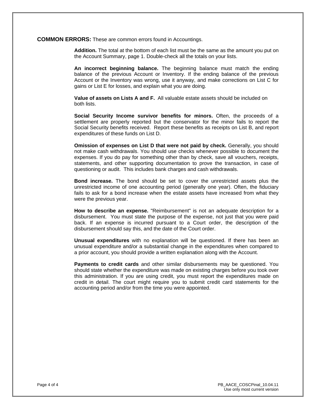#### **COMMON ERRORS:** These are common errors found in Accountings.

**Addition.** The total at the bottom of each list must be the same as the amount you put on the Account Summary, page 1. Double-check all the totals on your lists.

**An incorrect beginning balance.** The beginning balance must match the ending balance of the previous Account or Inventory. If the ending balance of the previous Account or the Inventory was wrong, use it anyway, and make corrections on List C for gains or List E for losses, and explain what you are doing.

**Value of assets on Lists A and F.** All valuable estate assets should be included on both lists.

**Social Security Income survivor benefits for minors.** Often, the proceeds of a settlement are properly reported but the conservator for the minor fails to report the Social Security benefits received. Report these benefits as receipts on List B, and report expenditures of these funds on List D.

**Omission of expenses on List D that were not paid by check.** Generally, you should not make cash withdrawals. You should use checks whenever possible to document the expenses. If you do pay for something other than by check, save all vouchers, receipts, statements, and other supporting documentation to prove the transaction, in case of questioning or audit. This includes bank charges and cash withdrawals.

 **Bond increase.** The bond should be set to cover the unrestricted assets plus the unrestricted income of one accounting period (generally one year). Often, the fiduciary fails to ask for a bond increase when the estate assets have increased from what they were the previous year.

**How to describe an expense.** "Reimbursement" is not an adequate description for a disbursement. You must state the purpose of the expense, not just that you were paid back. If an expense is incurred pursuant to a Court order, the description of the disbursement should say this, and the date of the Court order.

 **Unusual expenditures** with no explanation will be questioned. If there has been an unusual expenditure and/or a substantial change in the expenditures when compared to a prior account, you should provide a written explanation along with the Account.

**Payments to credit cards** and other similar disbursements may be questioned. You should state whether the expenditure was made on existing charges before you took over this administration. If you are using credit, you must report the expenditures made on credit in detail. The court might require you to submit credit card statements for the accounting period and/or from the time you were appointed.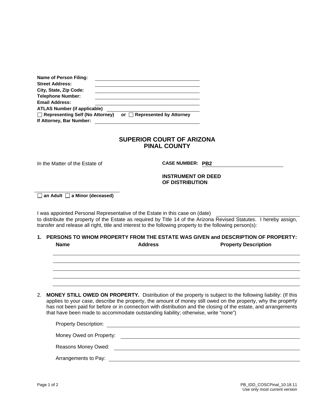| Name of Person Filing:                                             |                            |
|--------------------------------------------------------------------|----------------------------|
| <b>Street Address:</b>                                             |                            |
| City, State, Zip Code:                                             |                            |
| <b>Telephone Number:</b>                                           |                            |
| <b>Email Address:</b>                                              |                            |
| <b>ATLAS Number (if applicable)</b>                                |                            |
| $\Box$ Representing Self (No Attorney)<br>If Attorney, Bar Number: | or Represented by Attorney |

In the Matter of the Estate of **CASE NUMBER: PB2** 

**INSTRUMENT OR DEED OF DISTRIBUTION** 

□ an Adult □ a Minor (deceased)

I was appointed Personal Representative of the Estate in this case on (date) to distribute the property of the Estate as required by Title 14 of the Arizona Revised Statutes. I hereby assign, transfer and release all right, title and interest to the following property to the following person(s):

#### **1. PERSONS TO WHOM PROPERTY FROM THE ESTATE WAS GIVEN and DESCRIPTION OF PROPERTY: Name Address Property Description**

2. **MONEY STILL OWED ON PROPERTY.** Distribution of the property is subject to the following liability: (If this applies to your case, describe the property, the amount of money still owed on the property, why the property has not been paid for before or in connection with distribution and the closing of the estate, and arrangements that have been made to accommodate outstanding liability; otherwise, write "none")

| <b>Property Description:</b> |  |
|------------------------------|--|
| Money Owed on Property:      |  |
| Reasons Money Owed:          |  |
| Arrangements to Pay:         |  |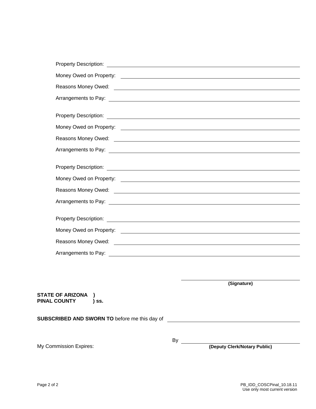| Money Owed on Property: <u>example and control of the set of the set of the set of the set of the set of the set of the set of the set of the set of the set of the set of the set of the set of the set of the set of the set o</u> |
|--------------------------------------------------------------------------------------------------------------------------------------------------------------------------------------------------------------------------------------|
|                                                                                                                                                                                                                                      |
| Arrangements to Pay: <u>contract the contract of the contract of the contract of the contract of the contract of the contract of the contract of the contract of the contract of the contract of the contract of the contract of</u> |
|                                                                                                                                                                                                                                      |
| Property Description: <u>contract the contract of the contract of the contract of the contract of the contract of the contract of the contract of the contract of the contract of the contract of the contract of the contract o</u> |
| Money Owed on Property: <u>contract the contract of the contract of the contract of the contract of the contract of the contract of the contract of the contract of the contract of the contract of the contract of the contract</u> |
|                                                                                                                                                                                                                                      |
| Arrangements to Pay: <u>contract the contract of the contract of the contract of the contract of the contract of the contract of the contract of the contract of the contract of the contract of the contract of the contract of</u> |
|                                                                                                                                                                                                                                      |
|                                                                                                                                                                                                                                      |
|                                                                                                                                                                                                                                      |
|                                                                                                                                                                                                                                      |
| Arrangements to Pay: <u>contract and a series of the series of the series of the series of the series of the series of the series of the series of the series of the series of the series of the series of the series of the ser</u> |
|                                                                                                                                                                                                                                      |
|                                                                                                                                                                                                                                      |
| Money Owed on Property: <u>example and the contract of the set of the set of the set of the set of the set of the set of the set of the set of the set of the set of the set of the set of the set of the set of the set of the </u> |
|                                                                                                                                                                                                                                      |
| Arrangements to Pay: <u>contract the contract of the set of the set of the set of the set of the set of the set of the set of the set of the set of the set of the set of the set of the set of the set of the set of the set of</u> |
|                                                                                                                                                                                                                                      |

**(Signature)**

**STATE OF ARIZONA ) PINAL COUNTY ) ss. SUBSCRIBED AND SWORN TO** before me this day of <u> 1980 - Johann Barbara, martin da basar a shekara 1980 - An tsara 1980 - An tsara 1980 - An tsara 1980 - An tsa</u> By

My Commission Expires: **(Deputy Clerk/Notary Public)**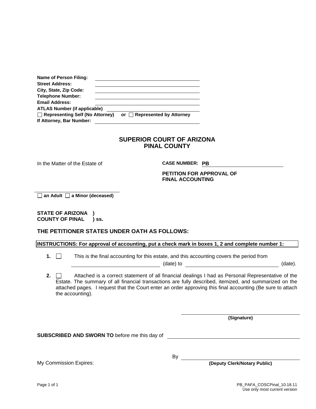| or Represented by Attorney |
|----------------------------|
|                            |
|                            |

In the Matter of the Estate of **CASE NUMBER: PB** 

#### **PETITION FOR APPROVAL OF FINAL ACCOUNTING**

□ an Adult □ a Minor (deceased)

**STATE OF ARIZONA ) COUNTY OF PINAL ) ss.** 

#### **THE PETITIONER STATES UNDER OATH AS FOLLOWS:**

**INSTRUCTIONS: For approval of accounting, put a check mark in boxes 1, 2 and complete number 1:**

**1.**  $\Box$  This is the final accounting for this estate, and this accounting covers the period from

(date) to (date).

**2.**  $\Box$  Attached is a correct statement of all financial dealings I had as Personal Representative of the Estate. The summary of all financial transactions are fully described, itemized, and summarized on the attached pages. I request that the Court enter an order approving this final accounting (Be sure to attach the accounting).

**(Signature)**

**SUBSCRIBED AND SWORN TO** before me this day of

By

My Commission Expires: **(Deputy Clerk/Notary Public)**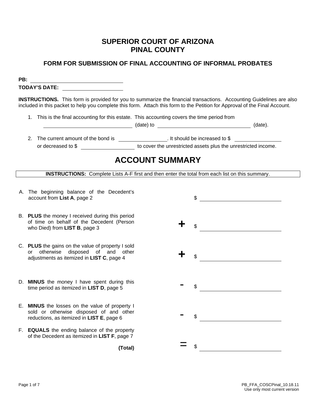### **FORM FOR SUBMISSION OF FINAL ACCOUNTING OF INFORMAL PROBATES**

**PB: TODAY'S DATE:** 

**INSTRUCTIONS.** This form is provided for you to summarize the financial transactions. Accounting Guidelines are also included in this packet to help you complete this form. Attach this form to the Petition for Approval of the Final Account.

|  | 1. This is the final accounting for this estate. This accounting covers the time period from |  |
|--|----------------------------------------------------------------------------------------------|--|
|  |                                                                                              |  |

(date) to  $($ date) to  $($ date).

2. The current amount of the bond is . It should be increased to \$ or decreased to \$ to cover the unrestricted assets plus the unrestricted income.

## **ACCOUNT SUMMARY**

**INSTRUCTIONS:** Complete Lists A-F first and then enter the total from each list on this summary.

- A. The beginning balance of the Decedent's
- B. **PLUS** the money I received during this period of time on behalf of the Decedent (Person who Died) from **LIST B**, page 3 **+** \$
- C. **PLUS** the gains on the value of property I sold or otherwise disposed of and other adjustments as itemized in **LIST C**, page 4 **+** \$
- D. **MINUS** the money I have spent during this time period as itemized in **LIST D**, page 5  $\degree$
- E. **MINUS** the losses on the value of property I sold or otherwise disposed of and other<br>reductions, as itemized in LIST E, page 6
- F. **EQUALS** the ending balance of the property of the Decedent as itemized in **LIST F**, page 7

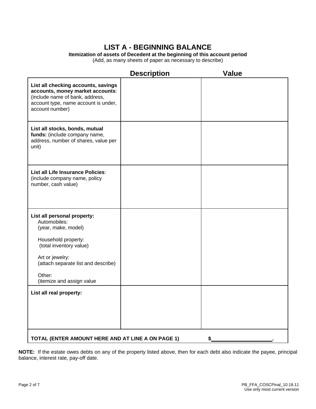## **LIST A - BEGINNING BALANCE**

**Itemization of assets of Decedent at the beginning of this account period**

(Add, as many sheets of paper as necessary to describe)

|                                                                                                                                                                                                                       | <b>Description</b> | <b>Value</b> |
|-----------------------------------------------------------------------------------------------------------------------------------------------------------------------------------------------------------------------|--------------------|--------------|
| List all checking accounts, savings<br>accounts, money market accounts:<br>(include name of bank, address,<br>account type, name account is under,<br>account number)                                                 |                    |              |
| List all stocks, bonds, mutual<br>funds: (include company name,<br>address, number of shares, value per<br>unit)                                                                                                      |                    |              |
| List all Life Insurance Policies:<br>(include company name, policy<br>number, cash value)                                                                                                                             |                    |              |
| List all personal property:<br>Automobiles:<br>(year, make, model)<br>Household property:<br>(total inventory value)<br>Art or jewelry:<br>(attach separate list and describe)<br>Other:<br>(itemize and assign value |                    |              |
| List all real property:                                                                                                                                                                                               |                    |              |
| TOTAL (ENTER AMOUNT HERE AND AT LINE A ON PAGE 1)<br>\$                                                                                                                                                               |                    |              |

**NOTE:** If the estate owes debts on any of the property listed above, then for each debt also indicate the payee, principal balance, interest rate, pay-off date.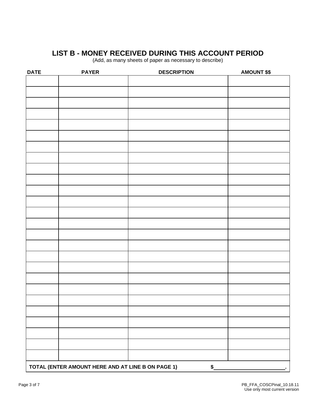## **LIST B - MONEY RECEIVED DURING THIS ACCOUNT PERIOD**

(Add, as many sheets of paper as necessary to describe)

| <b>DATE</b> | <b>PAYER</b>                                      | <b>DESCRIPTION</b> | <b>AMOUNT \$\$</b> |
|-------------|---------------------------------------------------|--------------------|--------------------|
|             |                                                   |                    |                    |
|             |                                                   |                    |                    |
|             |                                                   |                    |                    |
|             |                                                   |                    |                    |
|             |                                                   |                    |                    |
|             |                                                   |                    |                    |
|             |                                                   |                    |                    |
|             |                                                   |                    |                    |
|             |                                                   |                    |                    |
|             |                                                   |                    |                    |
|             |                                                   |                    |                    |
|             |                                                   |                    |                    |
|             |                                                   |                    |                    |
|             |                                                   |                    |                    |
|             |                                                   |                    |                    |
|             |                                                   |                    |                    |
|             |                                                   |                    |                    |
|             |                                                   |                    |                    |
|             |                                                   |                    |                    |
|             |                                                   |                    |                    |
|             |                                                   |                    |                    |
|             |                                                   |                    |                    |
|             |                                                   |                    |                    |
|             |                                                   |                    |                    |
|             |                                                   |                    |                    |
|             |                                                   |                    |                    |
|             |                                                   |                    |                    |
|             |                                                   |                    |                    |
|             |                                                   |                    |                    |
|             | TOTAL (ENTER AMOUNT HERE AND AT LINE B ON PAGE 1) | \$                 |                    |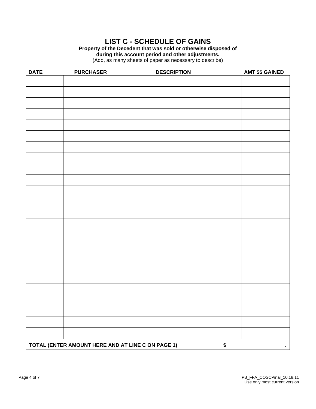## **LIST C - SCHEDULE OF GAINS**

**Property of the Decedent that was sold or otherwise disposed of during this account period and other adjustments.** 

(Add, as many sheets of paper as necessary to describe)

| <b>DATE</b>                                             | <b>PURCHASER</b> | <b>DESCRIPTION</b> | <b>AMT \$\$ GAINED</b> |
|---------------------------------------------------------|------------------|--------------------|------------------------|
|                                                         |                  |                    |                        |
|                                                         |                  |                    |                        |
|                                                         |                  |                    |                        |
|                                                         |                  |                    |                        |
|                                                         |                  |                    |                        |
|                                                         |                  |                    |                        |
|                                                         |                  |                    |                        |
|                                                         |                  |                    |                        |
|                                                         |                  |                    |                        |
|                                                         |                  |                    |                        |
|                                                         |                  |                    |                        |
|                                                         |                  |                    |                        |
|                                                         |                  |                    |                        |
|                                                         |                  |                    |                        |
|                                                         |                  |                    |                        |
|                                                         |                  |                    |                        |
|                                                         |                  |                    |                        |
|                                                         |                  |                    |                        |
|                                                         |                  |                    |                        |
|                                                         |                  |                    |                        |
|                                                         |                  |                    |                        |
|                                                         |                  |                    |                        |
|                                                         |                  |                    |                        |
|                                                         |                  |                    |                        |
|                                                         |                  |                    |                        |
|                                                         |                  |                    |                        |
| TOTAL (ENTER AMOUNT HERE AND AT LINE C ON PAGE 1)<br>\$ |                  |                    |                        |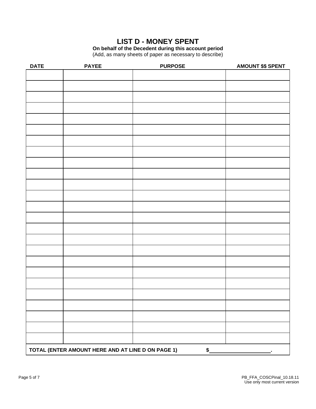## **LIST D - MONEY SPENT**

**On behalf of the Decedent during this account period** 

(Add, as many sheets of paper as necessary to describe)

| <b>DATE</b>                                             | <b>PAYEE</b> | <b>PURPOSE</b> | <b>AMOUNT \$\$ SPENT</b> |
|---------------------------------------------------------|--------------|----------------|--------------------------|
|                                                         |              |                |                          |
|                                                         |              |                |                          |
|                                                         |              |                |                          |
|                                                         |              |                |                          |
|                                                         |              |                |                          |
|                                                         |              |                |                          |
|                                                         |              |                |                          |
|                                                         |              |                |                          |
|                                                         |              |                |                          |
|                                                         |              |                |                          |
|                                                         |              |                |                          |
|                                                         |              |                |                          |
|                                                         |              |                |                          |
|                                                         |              |                |                          |
|                                                         |              |                |                          |
|                                                         |              |                |                          |
|                                                         |              |                |                          |
|                                                         |              |                |                          |
|                                                         |              |                |                          |
|                                                         |              |                |                          |
|                                                         |              |                |                          |
|                                                         |              |                |                          |
|                                                         |              |                |                          |
|                                                         |              |                |                          |
|                                                         |              |                |                          |
|                                                         |              |                |                          |
|                                                         |              |                |                          |
|                                                         |              |                |                          |
|                                                         |              |                |                          |
|                                                         |              |                |                          |
| TOTAL (ENTER AMOUNT HERE AND AT LINE D ON PAGE 1)<br>\$ |              |                |                          |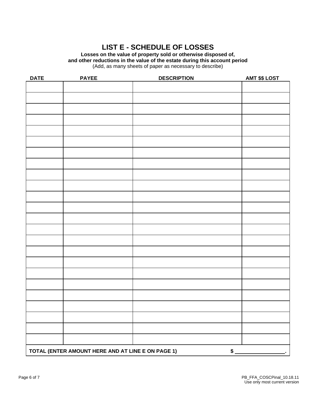## **LIST E - SCHEDULE OF LOSSES**

**Losses on the value of property sold or otherwise disposed of, and other reductions in the value of the estate during this account period**  (Add, as many sheets of paper as necessary to describe)

| <b>DATE</b> | <b>PAYEE</b>                                      | <b>DESCRIPTION</b> | <b>AMT \$\$ LOST</b> |
|-------------|---------------------------------------------------|--------------------|----------------------|
|             |                                                   |                    |                      |
|             |                                                   |                    |                      |
|             |                                                   |                    |                      |
|             |                                                   |                    |                      |
|             |                                                   |                    |                      |
|             |                                                   |                    |                      |
|             |                                                   |                    |                      |
|             |                                                   |                    |                      |
|             |                                                   |                    |                      |
|             |                                                   |                    |                      |
|             |                                                   |                    |                      |
|             |                                                   |                    |                      |
|             |                                                   |                    |                      |
|             |                                                   |                    |                      |
|             |                                                   |                    |                      |
|             |                                                   |                    |                      |
|             |                                                   |                    |                      |
|             |                                                   |                    |                      |
|             |                                                   |                    |                      |
|             |                                                   |                    |                      |
|             |                                                   |                    |                      |
|             |                                                   |                    |                      |
|             |                                                   |                    |                      |
|             |                                                   |                    |                      |
|             |                                                   |                    |                      |
|             |                                                   |                    |                      |
|             | TOTAL (ENTER AMOUNT HERE AND AT LINE E ON PAGE 1) |                    | $$^{\circ}$          |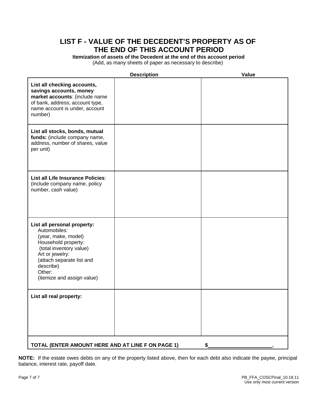## **LIST F - VALUE OF THE DECEDENT'S PROPERTY AS OF THE END OF THIS ACCOUNT PERIOD**

**Itemization of assets of the Decedent at the end of this account period** (Add, as many sheets of paper as necessary to describe)

|                                                                                                                                                                                                                           | <b>Description</b> | Value |
|---------------------------------------------------------------------------------------------------------------------------------------------------------------------------------------------------------------------------|--------------------|-------|
| List all checking accounts,<br>savings accounts, money<br>market accounts: (include name<br>of bank, address, account type,<br>name account is under, account<br>number)                                                  |                    |       |
| List all stocks, bonds, mutual<br>funds: (include company name,<br>address, number of shares, value<br>per unit)                                                                                                          |                    |       |
| List all Life Insurance Policies:<br>(include company name, policy<br>number, cash value)                                                                                                                                 |                    |       |
| List all personal property:<br>Automobiles:<br>(year, make, model)<br>Household property:<br>(total inventory value)<br>Art or jewelry:<br>(attach separate list and<br>describe)<br>Other:<br>(itemize and assign value) |                    |       |
| List all real property:                                                                                                                                                                                                   |                    |       |
| TOTAL (ENTER AMOUNT HERE AND AT LINE F ON PAGE 1)                                                                                                                                                                         |                    |       |

**NOTE:** If the estate owes debts on any of the property listed above, then for each debt also indicate the payee, principal balance, interest rate, payoff date.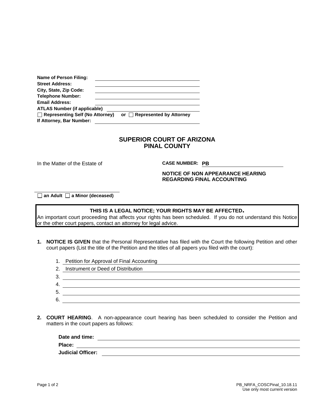| Name of Person Filing:                                             |                                   |
|--------------------------------------------------------------------|-----------------------------------|
| <b>Street Address:</b>                                             |                                   |
| City, State, Zip Code:                                             |                                   |
| <b>Telephone Number:</b>                                           |                                   |
| <b>Email Address:</b>                                              |                                   |
| <b>ATLAS Number (if applicable)</b>                                |                                   |
| $\Box$ Representing Self (No Attorney)<br>If Attorney, Bar Number: | or $\Box$ Represented by Attorney |

In the Matter of the Estate of **CASE NUMBER: PB** 

#### **NOTICE OF NON APPEARANCE HEARING REGARDING FINAL ACCOUNTING**

□ an Adult □ a Minor (deceased)

#### **THIS IS A LEGAL NOTICE; YOUR RIGHTS MAY BE AFFECTED.**

An important court proceeding that affects your rights has been scheduled. If you do not understand this Notice or the other court papers, contact an attorney for legal advice.

- **1. NOTICE IS GIVEN** that the Personal Representative has filed with the Court the following Petition and other court papers (List the title of the Petition and the titles of all papers you filed with the court):
	- 1. Petition for Approval of Final Accounting
	- 2. Instrument or Deed of Distribution
	- 3.
	- 4.
	- 5. 6.
- **2. COURT HEARING**. A non-appearance court hearing has been scheduled to consider the Petition and matters in the court papers as follows:

| Date and time:           |  |
|--------------------------|--|
| Place:                   |  |
| <b>Judicial Officer:</b> |  |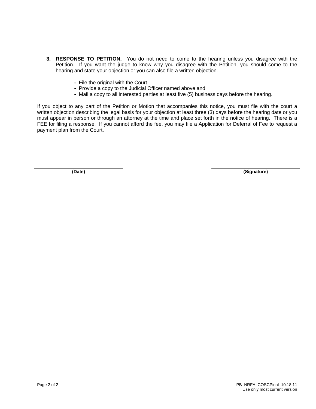- **3. RESPONSE TO PETITION.** You do not need to come to the hearing unless you disagree with the Petition. If you want the judge to know why you disagree with the Petition, you should come to the hearing and state your objection or you can also file a written objection.
	- **-** File the original with the Court
	- **-** Provide a copy to the Judicial Officer named above and
	- **-** Mail a copy to all interested parties at least five (5) business days before the hearing.

If you object to any part of the Petition or Motion that accompanies this notice, you must file with the court a written objection describing the legal basis for your objection at least three (3) days before the hearing date or you must appear in person or through an attorney at the time and place set forth in the notice of hearing. There is a FEE for filing a response. If you cannot afford the fee, you may file a Application for Deferral of Fee to request a payment plan from the Court.

**(Date) (Signature)**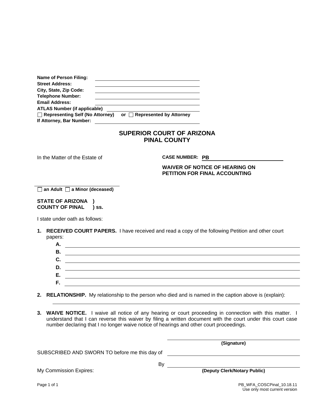| Name of Person Filing:                 |                            |
|----------------------------------------|----------------------------|
| <b>Street Address:</b>                 |                            |
| City, State, Zip Code:                 |                            |
| <b>Telephone Number:</b>               |                            |
| <b>Email Address:</b>                  |                            |
| <b>ATLAS Number (if applicable)</b>    |                            |
| $\Box$ Representing Self (No Attorney) | or Represented by Attorney |
| If Attorney, Bar Number:               |                            |
|                                        |                            |

In the Matter of the Estate of **CASE NUMBER: PB** 

**WAIVER OF NOTICE OF HEARING ON PETITION FOR FINAL ACCOUNTING** 

 **an Adult a Minor (deceased)**

#### **STATE OF ARIZONA ) COUNTY OF PINAL ) ss.**

I state under oath as follows:

- **1. RECEIVED COURT PAPERS.** I have received and read a copy of the following Petition and other court papers:
	- **A. B. C. D. E. F.**

**2. RELATIONSHIP.** My relationship to the person who died and is named in the caption above is (explain):

**3. WAIVE NOTICE.** I waive all notice of any hearing or court proceeding in connection with this matter. I understand that I can reverse this waiver by filing a written document with the court under this court case number declaring that I no longer waive notice of hearings and other court proceedings.

By the control of the control of the control of the control of the control of the control of the control of the control of the control of the control of the control of the control of the control of the control of the contr

**(Signature)**

SUBSCRIBED AND SWORN TO before me this day of

My Commission Expires: **(Deputy Clerk/Notary Public)**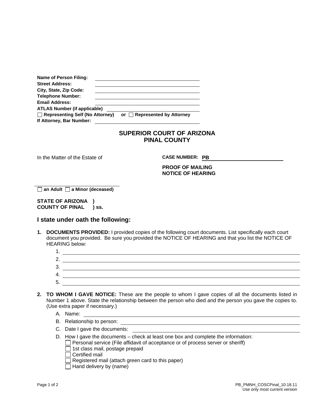| <b>Name of Person Filing:</b>       |                            |
|-------------------------------------|----------------------------|
| <b>Street Address:</b>              |                            |
| City, State, Zip Code:              |                            |
| <b>Telephone Number:</b>            |                            |
| <b>Email Address:</b>               |                            |
| <b>ATLAS Number (if applicable)</b> |                            |
| Representing Self (No Attorney)     | or Represented by Attorney |
| If Attorney, Bar Number:            |                            |
|                                     |                            |

In the Matter of the Estate of **CASE NUMBER: PB** 

**PROOF OF MAILING NOTICE OF HEARING** 

 **an Adult a Minor (deceased)**

**STATE OF ARIZONA ) COUNTY OF PINAL ) ss.** 

#### **I state under oath the following:**

- **1. DOCUMENTS PROVIDED:** I provided copies of the following court documents. List specifically each court document you provided. Be sure you provided the NOTICE OF HEARING and that you list the NOTICE OF HEARING below:
	- 1. 2. 3. 4. 5.

- **2. TO WHOM I GAVE NOTICE:** These are the people to whom I gave copies of all the documents listed in Number 1 above. State the relationship between the person who died and the person you gave the copies to. (Use extra paper if necessary.)
	- A. Name:
	- B. Relationship to person:
	- C. Date I gave the documents:
	- D. How I gave the documents check at least one box and complete the information:
		- $\Box$  Personal service (File affidavit of acceptance or of process server or sheriff)
		- $\Box$  1st class mail, postage prepaid
		- Certified mail
		- $\Box$  Registered mail (attach green card to this paper)
		- $\Box$  Hand delivery by (name)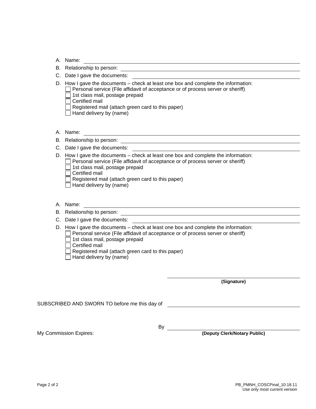B. Relationship to person:

- C. Date I gave the documents:
- D. How I gave the documents check at least one box and complete the information:  $\Box$  Personal service (File affidavit of acceptance or of process server or sheriff)  $\Box$  1st class mail, postage prepaid  $\Box$  Certified mail Registered mail (attach green card to this paper)
	- $\Box$  Hand delivery by (name)
- A. Name:
- B. Relationship to person:

C. Date I gave the documents:

D. How I gave the documents – check at least one box and complete the information:

<u> 1980 - Johann Barn, fransk politik (d. 1980)</u>

- $\Box$  Personal service (File affidavit of acceptance or of process server or sheriff)
	- $\Box$  1st class mail, postage prepaid
	- $\Box$  Certified mail
	- $\Box$  Registered mail (attach green card to this paper)
	- $\Box$  Hand delivery by (name)
- A. Name: 2008. 2009. 2009. 2009. 2009. 2009. 2009. 2009. 2009. 2009. 2009. 2009. 2009. 2009. 2009. 2009. 2009. 2009. 2009. 2009. 2009. 2009. 2009. 2009. 2009. 2009. 2009. 2009. 2009. 2009. 2009. 2009. 2009. 2009. 2009. 200
- B. Relationship to person: example and the contract of the contract of the contract of the contract of the contract of the contract of the contract of the contract of the contract of the contract of the contract of the con
- C. Date I gave the documents:

D. How I gave the documents – check at least one box and complete the information:

- $\Box$  Personal service (File affidavit of acceptance or of process server or sheriff)
- $\Box$  1st class mail, postage prepaid
- $\overline{\Box}$  Certified mail
- $\Box$  Registered mail (attach green card to this paper)
- $\Box$  Hand delivery by (name)

**(Signature)**

SUBSCRIBED AND SWORN TO before me this day of

By

My Commission Expires: **(Deputy Clerk/Notary Public)**